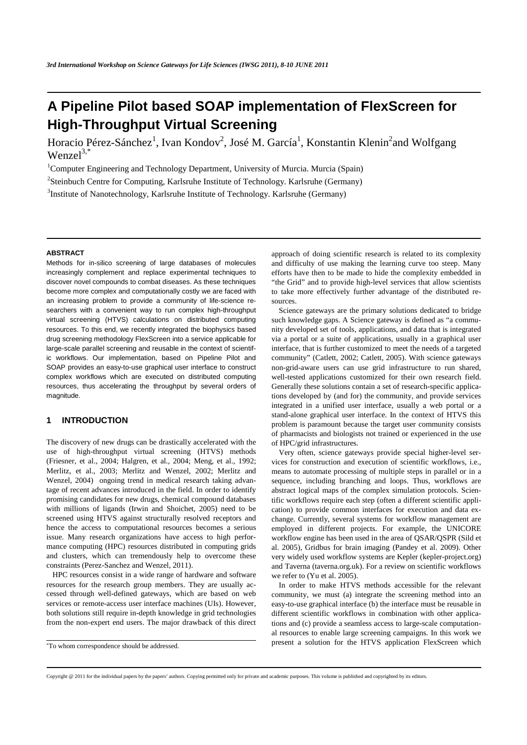# **A Pipeline Pilot based SOAP implementation of FlexScreen for High-Throughput Virtual Screening**

Horacio Pérez-Sánchez<sup>1</sup>, Ivan Kondov<sup>2</sup>, José M. García<sup>1</sup>, Konstantin Klenin<sup>2</sup>and Wolfgang  $Wenzel^{3,*}$ 

<sup>1</sup>Computer Engineering and Technology Department, University of Murcia. Murcia (Spain)

<sup>2</sup>Steinbuch Centre for Computing, Karlsruhe Institute of Technology. Karlsruhe (Germany)

<sup>3</sup>Institute of Nanotechnology, Karlsruhe Institute of Technology. Karlsruhe (Germany)

#### **ABSTRACT**

Methods for in-silico screening of large databases of molecules increasingly complement and replace experimental techniques to discover novel compounds to combat diseases. As these techniques become more complex and computationally costly we are faced with an increasing problem to provide a community of life-science researchers with a convenient way to run complex high-throughput virtual screening (HTVS) calculations on distributed computing resources. To this end, we recently integrated the biophysics based drug screening methodology FlexScreen into a service applicable for large-scale parallel screening and reusable in the context of scientific workflows. Our implementation, based on Pipeline Pilot and SOAP provides an easy-to-use graphical user interface to construct complex workflows which are executed on distributed computing resources, thus accelerating the throughput by several orders of magnitude.

# **1 INTRODUCTION**

The discovery of new drugs can be drastically accelerated with the use of high-throughput virtual screening (HTVS) methods (Friesner, et al., 2004; Halgren, et al., 2004; Meng, et al., 1992; Merlitz, et al., 2003; Merlitz and Wenzel, 2002; Merlitz and Wenzel, 2004) ongoing trend in medical research taking advantage of recent advances introduced in the field. In order to identify promising candidates for new drugs, chemical compound databases with millions of ligands (Irwin and Shoichet, 2005) need to be screened using HTVS against structurally resolved receptors and hence the access to computational resources becomes a serious issue. Many research organizations have access to high performance computing (HPC) resources distributed in computing grids and clusters, which can tremendously help to overcome these constraints (Perez-Sanchez and Wenzel, 2011).

HPC resources consist in a wide range of hardware and software resources for the research group members. They are usually accessed through well-defined gateways, which are based on web services or remote-access user interface machines (UIs). However, both solutions still require in-depth knowledge in grid technologies from the non-expert end users. The major drawback of this direct approach of doing scientific research is related to its complexity and difficulty of use making the learning curve too steep. Many efforts have then to be made to hide the complexity embedded in "the Grid" and to provide high-level services that allow scientists to take more effectively further advantage of the distributed resources.

Science gateways are the primary solutions dedicated to bridge such knowledge gaps. A Science gateway is defined as "a community developed set of tools, applications, and data that is integrated via a portal or a suite of applications, usually in a graphical user interface, that is further customized to meet the needs of a targeted community" (Catlett, 2002; Catlett, 2005). With science gateways non-grid-aware users can use grid infrastructure to run shared, well-tested applications customized for their own research field. Generally these solutions contain a set of research-specific applications developed by (and for) the community, and provide services integrated in a unified user interface, usually a web portal or a stand-alone graphical user interface. In the context of HTVS this problem is paramount because the target user community consists of pharmacists and biologists not trained or experienced in the use of HPC/grid infrastructures.

Very often, science gateways provide special higher-level services for construction and execution of scientific workflows, i.e., means to automate processing of multiple steps in parallel or in a sequence, including branching and loops. Thus, workflows are abstract logical maps of the complex simulation protocols. Scientific workflows require each step (often a different scientific application) to provide common interfaces for execution and data exchange. Currently, several systems for workflow management are employed in different projects. For example, the UNICORE workflow engine has been used in the area of QSAR/QSPR (Sild et al. 2005), Gridbus for brain imaging (Pandey et al. 2009). Other very widely used workflow systems are Kepler (kepler-project.org) and Taverna (taverna.org.uk). For a review on scientific workflows we refer to (Yu et al. 2005).

In order to make HTVS methods accessible for the relevant community, we must (a) integrate the screening method into an easy-to-use graphical interface (b) the interface must be reusable in different scientific workflows in combination with other applications and (c) provide a seamless access to large-scale computational resources to enable large screening campaigns. In this work we present a solution for the HTVS application FlexScreen which

<sup>\*</sup>To whom correspondence should be addressed.

Copyright @ 2011 for the individual papers by the papers' authors. Copying permitted only for private and academic purposes. This volume is published and copyrighted by its editors.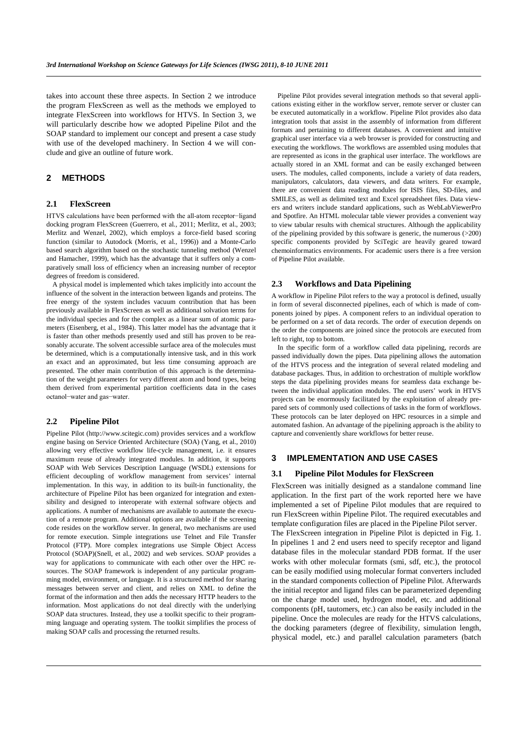takes into account these three aspects. In Section 2 we introduce the program FlexScreen as well as the methods we employed to integrate FlexScreen into workflows for HTVS. In Section 3, we will particularly describe how we adopted Pipeline Pilot and the SOAP standard to implement our concept and present a case study with use of the developed machinery. In Section 4 we will conclude and give an outline of future work.

# **2 METHODS**

## **2.1 FlexScreen**

HTVS calculations have been performed with the all-atom receptor−ligand docking program FlexScreen (Guerrero, et al., 2011; Merlitz, et al., 2003; Merlitz and Wenzel, 2002), which employs a force-field based scoring function (similar to Autodock (Morris, et al., 1996)) and a Monte-Carlo based search algorithm based on the stochastic tunneling method (Wenzel and Hamacher, 1999), which has the advantage that it suffers only a comparatively small loss of efficiency when an increasing number of receptor degrees of freedom is considered.

A physical model is implemented which takes implicitly into account the influence of the solvent in the interaction between ligands and proteins. The free energy of the system includes vacuum contribution that has been previously available in FlexScreen as well as additional solvation terms for the individual species and for the complex as a linear sum of atomic parameters (Eisenberg, et al., 1984). This latter model has the advantage that it is faster than other methods presently used and still has proven to be reasonably accurate. The solvent accessible surface area of the molecules must be determined, which is a computationally intensive task, and in this work an exact and an approximated, but less time consuming approach are presented. The other main contribution of this approach is the determination of the weight parameters for very different atom and bond types, being them derived from experimental partition coefficients data in the cases octanol−water and gas−water.

#### **2.2 Pipeline Pilot**

Pipeline Pilot (http://www.scitegic.com) provides services and a workflow engine basing on Service Oriented Architecture (SOA) (Yang, et al., 2010) allowing very effective workflow life-cycle management, i.e. it ensures maximum reuse of already integrated modules. In addition, it supports SOAP with Web Services Description Language (WSDL) extensions for efficient decoupling of workflow management from services' internal implementation. In this way, in addition to its built-in functionality, the architecture of Pipeline Pilot has been organized for integration and extensibility and designed to interoperate with external software objects and applications. A number of mechanisms are available to automate the execution of a remote program. Additional options are available if the screening code resides on the workflow server. In general, two mechanisms are used for remote execution. Simple integrations use Telnet and File Transfer Protocol (FTP). More complex integrations use Simple Object Access Protocol (SOAP)(Snell, et al., 2002) and web services. SOAP provides a way for applications to communicate with each other over the HPC resources. The SOAP framework is independent of any particular programming model, environment, or language. It is a structured method for sharing messages between server and client, and relies on XML to define the format of the information and then adds the necessary HTTP headers to the information. Most applications do not deal directly with the underlying SOAP data structures. Instead, they use a toolkit specific to their programming language and operating system. The toolkit simplifies the process of making SOAP calls and processing the returned results.

Pipeline Pilot provides several integration methods so that several applications existing either in the workflow server, remote server or cluster can be executed automatically in a workflow. Pipeline Pilot provides also data integration tools that assist in the assembly of information from different formats and pertaining to different databases. A convenient and intuitive graphical user interface via a web browser is provided for constructing and executing the workflows. The workflows are assembled using modules that are represented as icons in the graphical user interface. The workflows are actually stored in an XML format and can be easily exchanged between users. The modules, called components, include a variety of data readers, manipulators, calculators, data viewers, and data writers. For example, there are convenient data reading modules for ISIS files, SD-files, and SMILES, as well as delimited text and Excel spreadsheet files. Data viewers and writers include standard applications, such as WebLabViewerPro and Spotfire. An HTML molecular table viewer provides a convenient way to view tabular results with chemical structures. Although the applicability of the pipelining provided by this software is generic, the numerous (>200) specific components provided by SciTegic are heavily geared toward chemoinformatics environments. For academic users there is a free version of Pipeline Pilot available.

#### **2.3 Workflows and Data Pipelining**

A workflow in Pipeline Pilot refers to the way a protocol is defined, usually in form of several disconnected pipelines, each of which is made of components joined by pipes. A component refers to an individual operation to be performed on a set of data records. The order of execution depends on the order the components are joined since the protocols are executed from left to right, top to bottom.

In the specific form of a workflow called data pipelining, records are passed individually down the pipes. Data pipelining allows the automation of the HTVS process and the integration of several related modeling and database packages. Thus, in addition to orchestration of multiple workflow steps the data pipelining provides means for seamless data exchange between the individual application modules. The end users' work in HTVS projects can be enormously facilitated by the exploitation of already prepared sets of commonly used collections of tasks in the form of workflows. These protocols can be later deployed on HPC resources in a simple and automated fashion. An advantage of the pipelining approach is the ability to capture and conveniently share workflows for better reuse.

## **3 IMPLEMENTATION AND USE CASES**

#### **3.1 Pipeline Pilot Modules for FlexScreen**

FlexScreen was initially designed as a standalone command line application. In the first part of the work reported here we have implemented a set of Pipeline Pilot modules that are required to run FlexScreen within Pipeline Pilot. The required executables and template configuration files are placed in the Pipeline Pilot server.

The FlexScreen integration in Pipeline Pilot is depicted in Fig. 1. In pipelines 1 and 2 end users need to specify receptor and ligand database files in the molecular standard PDB format. If the user works with other molecular formats (smi, sdf, etc.), the protocol can be easily modified using molecular format converters included in the standard components collection of Pipeline Pilot. Afterwards the initial receptor and ligand files can be parameterized depending on the charge model used, hydrogen model, etc. and additional components (pH, tautomers, etc.) can also be easily included in the pipeline. Once the molecules are ready for the HTVS calculations, the docking parameters (degree of flexibility, simulation length, physical model, etc.) and parallel calculation parameters (batch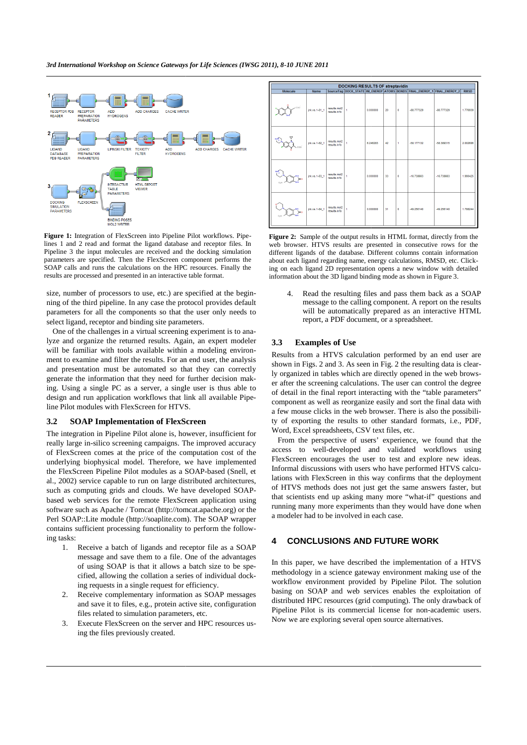

Figure 1: Integration of FlexScreen into Pipeline Pilot workflows. Pipelines 1 and 2 read and format the ligand database and receptor files. In Pipeline 3 the input molecules are received and the docking simulation parameters are specified. Then the FlexScreen component performs the SOAP calls and runs the calculations on the HPC resources. Finally the results are processed and presented in an interactive table format.

size, number of processors to use, etc.) are specified at the beginning of the third pipeline. In any case the protocol provides default parameters for all the components so that the user only needs to select ligand, receptor and binding site parameters. I pipeline. In any case the protocol provides default<br>all the components so that the user only needs to<br>ceptor and binding site parameters.<br>allenges in a virtual screening experiment is to ana-

One of the challenges in a virtual screening experiment is to an lyze and organize the returned results. Again, an expert modeler will be familiar with tools available within a modeling environment to examine and filter the results. For an end user, the analysis and presentation must be automated so that they can correctly generate the information that they need for further decision ma making. Using a single PC as a server, a single user is thus able to design and run application workflows that link all available Pipedesign and run application workflows that link all available Pip line Pilot modules with FlexScreen for HTVS.

#### **3.2 SOAP Implementation of FlexScreen**

The integration in Pipeline Pilot alone is, however, insufficient for really large in-silico screening campaigns. The improved accuracy of FlexScreen comes at the price of the computation cost of the underlying biophysical model. Therefore, we have implemented the FlexScreen Pipeline Pilot modules as a SOAP al., 2002) service capable to run on large distributed architectures, such as computing grids and clouds. We have developed SOAPbased web services for the remote FlexScreen application using software such as Apache / Tomcat (http://tomcat.apache.org) or the Perl SOAP::Lite module (http://soaplite.com). The SOAP wrapper contains sufficient processing functionality to perform the following tasks: . The improved accuracy<br>computation cost of the<br>e, we have implemented<br>a SOAP-based (Snell, et

- 1. Receive a batch of ligands and receptor file as a SOAP message and save them to a file. One of the advantages of using SOAP is that it allows a batch size to be specified, allowing the collation a series of individual docking requests in a single request for efficiency.
- 2. Receive complementary information as SOAP messages and save it to files, e.g., protein active site, configuration files related to simulation parameters, etc. nformation as SOAP<br>rotein active site, con<br>parameters, etc.
- 3. Execute FlexScreen on the server and HPC resources using the files previously created.

| <b>DOCKING RESULTS OF streptavidin</b> |               |                               |                |          |    |              |                                                                            |              |             |
|----------------------------------------|---------------|-------------------------------|----------------|----------|----|--------------|----------------------------------------------------------------------------|--------------|-------------|
| <b>Molecule</b>                        | <b>Name</b>   |                               |                |          |    |              | SourceTag DOCK_STATE  INI_ENERGY ATOMS BONDS FINAL_ENERGY_1 FINAL_ENERGY_2 |              | <b>RMSD</b> |
| .<br>مەنبى                             | jnk.vs.1-81_1 | results.mol2<br>results info. | 4              | 0.000000 | 20 | $\mathbf 0$  | $-88.777329$                                                               | $-88.777329$ | 1.776939    |
|                                        | jnk.vs.1-82_1 | results.mol2<br>results.info  | 4              | 6.246283 | 42 | ٠            | $-58.177132$                                                               | -58.389315   | 2.002606    |
|                                        | jnk.vs.1-83_1 | results.mol2<br>results.info  | 4              | 0.000000 | 33 | $\bullet$    | $-16738663$                                                                | $-16.738663$ | 1.990425    |
|                                        | ink.vs.1-84 1 | results.mol2<br>results.info  | $\overline{1}$ | 0.000000 | 31 | $\mathbf{0}$ | $-49.256140$                                                               | -49.256140   | 1.788244    |

eline Pilot workflows. Pipe-**Figure 2:** Sample of the output results in HTML format, directly from the tabase and receptor files. In web browser. HTVS results are presented in consecutive rows for the and the docking simul web browser. HTVS results are presented in consecutive rows for the different ligands of the database. Different columns contain information about each ligand regarding name, energy calculations, RMSD, etc. Clickdifferent ligands of the database. Different columns contain information about each ligand regarding name, energy calculations, RMSD, etc. Clic ing on each ligand 2D representation opens a new window with detailed information about the 3D ligand binding mode as shown in Figure 3.

4. Read the resulting files and pass them back as a SOAP message to the calling component. A report on the results will be automatically prepared as an interactive HTML report, a PDF document, or a spreadsheet.

## **3.3 Examples of Use**

Results from a HTVS calculation performed by an end user are shown in Figs. 2 and 3. As seen in Fig. 2 the resulting data is clearly organized in tables which are directly opened in the web brow browser after the screening calculations. The user can control the degree of detail in the final report interacting with the "table parameters" component as well as reorganize easily and sort the final data with component as well as reorganize easily and sort the final data with<br>a few mouse clicks in the web browser. There is also the possibility of exporting the results to other standard formats, i.e., PDF, Word, Excel spreadsheets, CSV text files, etc. of exporting the results to other standard formats, i.e., PDF, <br>ford, Excel spreadsheets, CSV text files, etc.<br>From the perspective of users' experience, we found that the a PDF document, or a spreadsheet.<br> **les of Use**<br>
HTVS calculation performed by an end user are<br>
and 3. As seen in Fig. 2 the resulting data is clear-

access to well-developed and validated workflows using FlexScreen encourages the user to test and explore new ideas. Informal discussions with users who have performed HTVS calculations with FlexScreen in this way confirms that the deployment of HTVS methods does not just get the same answers faster faster, but that scientists end up asking many more "what-if" questions and running many more experiments than they would have done when<br>a modeler had to be involved in each case. a modeler had to be involved in each

#### **4 CONCLUSIONS AND FUTU FUTURE WORK**

In this paper, we have described the implementation of a HTVS methodology in a science gateway environment making use of the workflow environment provided by Pipeline Pilot. The solution basing on SOAP and web services enables the exploitation of distributed HPC resources (grid computing). The only drawback of Pipeline Pilot is its commercial license for non-academic users. Now we are exploring several open source alternatives.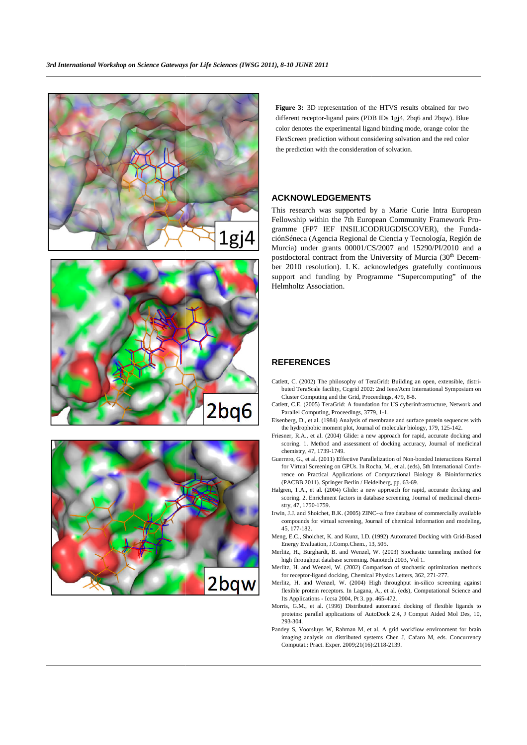





Figure 3: 3D representation of the HTVS results obtained for two different receptor-ligand pairs (PDB IDs 1gj4, 2bq6 and 2bqw). Blue color denotes the experimental ligand binding mode, orange color the FlexScreen prediction without considering solvation and the red color the prediction with the consideration of solvation.

## **ACKNOWLEDGEMENTS**

This research was supported by a Marie Curie Intra European Fellowship within the 7th European Community Framework Programme (FP7 IEF INSILICODRUGDISCOVER), the FundaciónSéneca (Agencia Regional de Ciencia y Tecnología, Región de Murcia) under grants 00001/CS/2007 and 15290/PI/2010 and a postdoctoral contract from the University of Murcia (30<sup>th</sup> December 2010 resolution). I.K. acknowledges gratefully continuous support and funding by Programme "Supercomputing" of the Helmholtz Association.

## **REFERENCES**

- Catlett, C. (2002) The philosophy of TeraGrid: Building an open, extensible, distributed TeraScale facility, Ccgrid 2002: 2nd Ieee/Acm International Symposium on Cluster Computing and the Grid, Proceedings, 479 479, 8-8.
- Catlett, C.E. (2005) TeraGrid: A foundation for US cyberinfrastructure, Network and Parallel Computing, Proceedings, 3779, 1 1-1.
- Eisenberg, D., et al. (1984) Analysis of membrane and surface protein sequences with the hydrophobic moment plot, Journal of molecular biology, 179, 125-142. the hydrophobic moment plot, Journal of molecular biology, 179, 125-142.
- Friesner, R.A., et al. (2004) Glide: a new approach for rapid, accurate docking and scoring. 1. Method and assessment of docking accuracy, Journal of medicinal chemistry, 47, 1739-1749. Friesner, R.A., et al. (2004) Glide: a new approach for rapid, accurate docking and scoring. 1. Method and assessment of docking accuracy, Journal of medicinal chemistry, 47, 1739-1749.<br>Guerrero, G., et al. (2011) Effectiv
- for Virtual Screening on GPUs. In Rocha, M., et al. (eds), 5th International Conference on Practical Applications of Computational Biology & Bioinformatics (PACBB 2011). Springer Berlin / Heidelberg, pp. 63 63-69.
- Halgren, T.A., et al. (2004) Glide: a new approach for rapid, accurate docking and scoring. 2. Enrichment factors in database screening, Journal of medicinal chemistry, 47, 1750-1759.
- Irwin, J.J. and Shoichet, B.K. (2005) ZINC--a free database of commercially available compounds for virtual screening, Journal of chemical information and modeling, 45, 177-182.
- Meng, E.C., Shoichet, K. and Kunz, I.D. (1992) Automated Docking with Grid Grid-Based Energy Evaluation, J.Comp.Chem., 13, 505.
- Merlitz, H., Burghardt, B. and Wenzel, W. (2003) Stochastic tunneling method for high throughput database screening. Nanotech 2003, Vol 1. ghardt, B. and Wenzel, W. (2003) Stochastic tunneling method for put database screening. Nanotech 2003, Vol 1.<br>Wenzel, W. (2002) Comparison of stochastic optimization methods ligand docking, Chemical Physics Letters, 362,
- Merlitz, H. and Wenzel, W. (2002) Comparison of stochastic optimization methods for receptor-ligand docking, Chemical Physics Letters, 362, 271-277.
- Merlitz, H. and Wenzel, W. (2004) High throughput in-silico screening against flexible protein receptors. In Lagana, A., et al. (eds), Computational Science and Its Applications - Iccsa 2004, Pt 3. pp. 465 465-472.
- Morris, G.M., et al. (1996) Distributed automated docking of flexible ligands to proteins: parallel applications of AutoDock 2.4, J Comput Aided Mol Des, 10, 293-304.
- Pandey S, Voorsluys W, Rahman M, et al. A grid workflow environment for brain imaging analysis on distributed systems Chen J, Cafaro M, eds. Concurrency Computat.: Pract. Exper. 2009;21(16):2118 eins: parallel applications of AutoDock 2.4, J Comput Aided<br>304.<br>S, Voorsluys W, Rahman M, et al. A grid workflow environs<br>ging analysis on distributed systems Chen J, Cafaro M, eds<br>putat.: Pract. Exper. 2009;21(16):2118-2